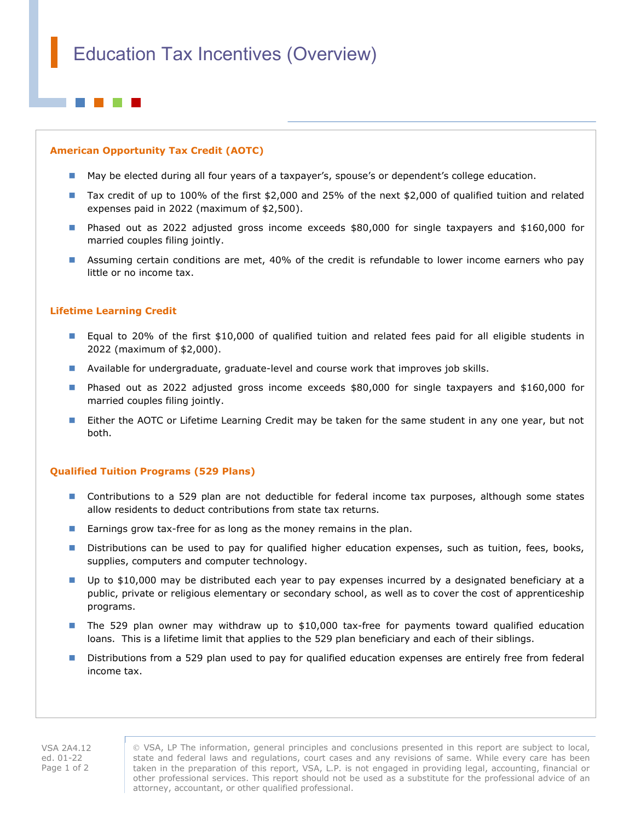## American Opportunity Tax Credit (AOTC)

- May be elected during all four years of a taxpayer's, spouse's or dependent's college education.
- Tax credit of up to 100% of the first \$2,000 and 25% of the next \$2,000 of qualified tuition and related expenses paid in 2022 (maximum of \$2,500).
- Phased out as 2022 adjusted gross income exceeds \$80,000 for single taxpayers and \$160,000 for married couples filing jointly.
- **Assuming certain conditions are met, 40% of the credit is refundable to lower income earners who pay** little or no income tax.

# Lifetime Learning Credit

- **Equal to 20% of the first \$10,000 of qualified tuition and related fees paid for all eligible students in** 2022 (maximum of \$2,000).
- **Available for undergraduate, graduate-level and course work that improves job skills.**
- Phased out as 2022 adjusted gross income exceeds \$80,000 for single taxpayers and \$160,000 for married couples filing jointly.
- **Either the AOTC or Lifetime Learning Credit may be taken for the same student in any one year, but not** both.

## Qualified Tuition Programs (529 Plans)

- **Contributions to a 529 plan are not deductible for federal income tax purposes, although some states** allow residents to deduct contributions from state tax returns.
- Earnings grow tax-free for as long as the money remains in the plan.
- Distributions can be used to pay for qualified higher education expenses, such as tuition, fees, books, supplies, computers and computer technology.
- Up to \$10,000 may be distributed each year to pay expenses incurred by a designated beneficiary at a public, private or religious elementary or secondary school, as well as to cover the cost of apprenticeship programs.
- The 529 plan owner may withdraw up to \$10,000 tax-free for payments toward qualified education loans. This is a lifetime limit that applies to the 529 plan beneficiary and each of their siblings.
- **Distributions from a 529 plan used to pay for qualified education expenses are entirely free from federal** income tax.

VSA, LP The information, general principles and conclusions presented in this report are subject to local, state and federal laws and regulations, court cases and any revisions of same. While every care has been taken in the preparation of this report, VSA, L.P. is not engaged in providing legal, accounting, financial or other professional services. This report should not be used as a substitute for the professional advice of an attorney, accountant, or other qualified professional.